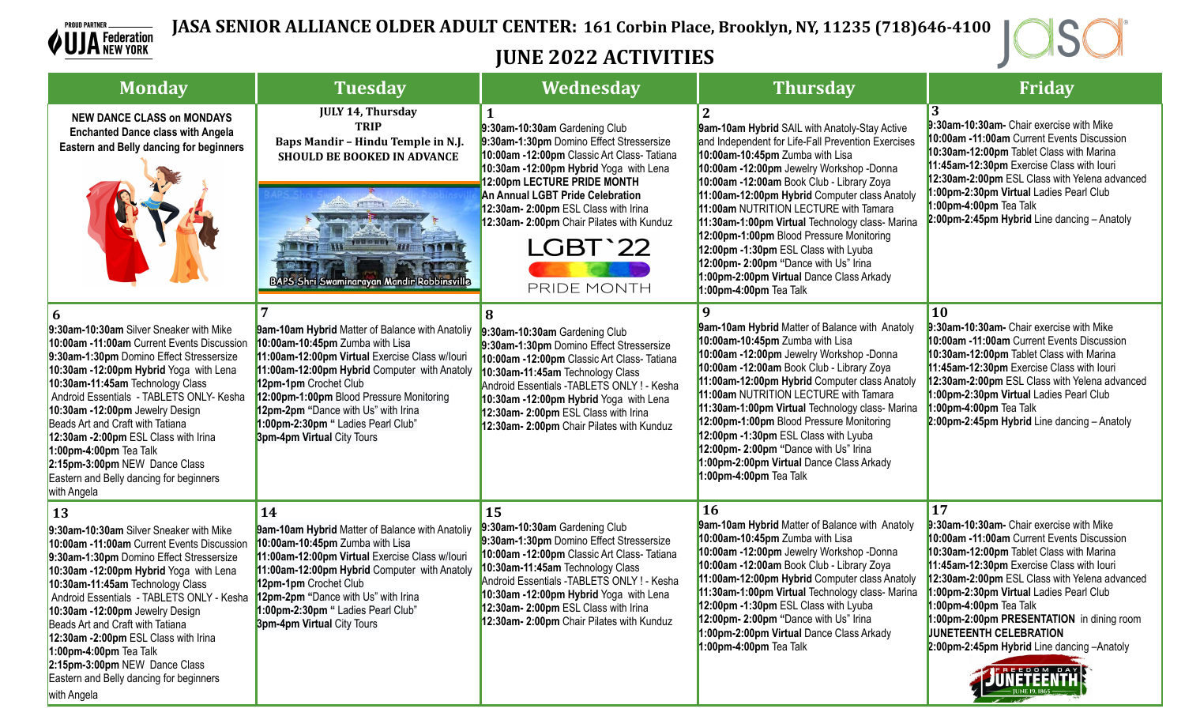



## **JUNE 2022 ACTIVITIES**

| <b>Monday</b>                                                                                                                                                                                                                                                                                                                                                                                                                                                                                                                                        | <b>Tuesday</b>                                                                                                                                                                                                                                                                                                                                                       | Wednesday                                                                                                                                                                                                                                                                                                                                            | <b>Thursday</b>                                                                                                                                                                                                                                                                                                                                                                                                                                                                                                                                                                        | Friday                                                                                                                                                                                                                                                                                                                                                                                                                                                       |
|------------------------------------------------------------------------------------------------------------------------------------------------------------------------------------------------------------------------------------------------------------------------------------------------------------------------------------------------------------------------------------------------------------------------------------------------------------------------------------------------------------------------------------------------------|----------------------------------------------------------------------------------------------------------------------------------------------------------------------------------------------------------------------------------------------------------------------------------------------------------------------------------------------------------------------|------------------------------------------------------------------------------------------------------------------------------------------------------------------------------------------------------------------------------------------------------------------------------------------------------------------------------------------------------|----------------------------------------------------------------------------------------------------------------------------------------------------------------------------------------------------------------------------------------------------------------------------------------------------------------------------------------------------------------------------------------------------------------------------------------------------------------------------------------------------------------------------------------------------------------------------------------|--------------------------------------------------------------------------------------------------------------------------------------------------------------------------------------------------------------------------------------------------------------------------------------------------------------------------------------------------------------------------------------------------------------------------------------------------------------|
| <b>NEW DANCE CLASS on MONDAYS</b><br><b>Enchanted Dance class with Angela</b><br><b>Eastern and Belly dancing for beginners</b>                                                                                                                                                                                                                                                                                                                                                                                                                      | <b>JULY 14, Thursday</b><br><b>TRIP</b><br>Baps Mandir - Hindu Temple in N.J.<br><b>SHOULD BE BOOKED IN ADVANCE</b><br><b>BAPS Shri Swaminarayan Mandir Robbinsville</b>                                                                                                                                                                                             | 9:30am-10:30am Gardening Club<br>9:30am-1:30pm Domino Effect Stressersize<br>10:00am -12:00pm Classic Art Class- Tatiana<br>10:30am -12:00pm Hybrid Yoga with Lena<br>12:00pm LECTURE PRIDE MONTH<br>An Annual LGBT Pride Celebration<br>12:30am- 2:00pm ESL Class with Irina<br>12:30am- 2:00pm Chair Pilates with Kunduz<br>LGBT'22<br>PRIDE MONTH | <b>9am-10am Hybrid SAIL with Anatoly-Stay Active</b><br>and Independent for Life-Fall Prevention Exercises<br>10:00am-10:45pm Zumba with Lisa<br>10:00am -12:00pm Jewelry Workshop -Donna<br>10:00am -12:00am Book Club - Library Zoya<br>11:00am-12:00pm Hybrid Computer class Anatoly<br>11:00am NUTRITION LECTURE with Tamara<br>11:30am-1:00pm Virtual Technology class- Marina<br>12:00pm-1:00pm Blood Pressure Monitoring<br>12:00pm -1:30pm ESL Class with Lyuba<br>12:00pm- 2:00pm "Dance with Us" Irina<br>1:00pm-2:00pm Virtual Dance Class Arkady<br>1:00pm-4:00pm Tea Talk | 9:30am-10:30am- Chair exercise with Mike<br>10:00am -11:00am Current Events Discussion<br>10:30am-12:00pm Tablet Class with Marina<br>11:45am-12:30pm Exercise Class with louri<br>12:30am-2:00pm ESL Class with Yelena advanced<br>1:00pm-2:30pm Virtual Ladies Pearl Club<br>1:00pm-4:00pm Tea Talk<br>$2:00$ pm-2:45pm Hybrid Line dancing - Anatoly                                                                                                      |
| 9:30am-10:30am Silver Sneaker with Mike<br>10:00am -11:00am Current Events Discussion<br>9:30am-1:30pm Domino Effect Stressersize<br>10:30am -12:00pm Hybrid Yoga with Lena<br>10:30am-11:45am Technology Class<br>Android Essentials - TABLETS ONLY- Kesha<br>10:30am -12:00pm Jewelry Design<br>Beads Art and Craft with Tatiana<br>12:30am -2:00pm ESL Class with Irina<br>1:00pm-4:00pm Tea Talk<br>2:15pm-3:00pm NEW Dance Class<br>Eastern and Belly dancing for beginners<br>with Angela                                                      | 9am-10am Hybrid Matter of Balance with Anatoliy<br>10:00am-10:45pm Zumba with Lisa<br>11:00am-12:00pm Virtual Exercise Class w/louri<br>11:00am-12:00pm Hybrid Computer with Anatoly<br>12pm-1pm Crochet Club<br>12:00pm-1:00pm Blood Pressure Monitoring<br>12pm-2pm "Dance with Us" with Irina<br>1:00pm-2:30pm " Ladies Pearl Club"<br>3pm-4pm Virtual City Tours | 9:30am-10:30am Gardening Club<br>9:30am-1:30pm Domino Effect Stressersize<br>10:00am -12:00pm Classic Art Class- Tatiana<br>10:30am-11:45am Technology Class<br>Android Essentials - TABLETS ONLY ! - Kesha<br>10:30am -12:00pm Hybrid Yoga with Lena<br>12:30am- 2:00pm ESL Class with Irina<br>12:30am- 2:00pm Chair Pilates with Kunduz           | 9am-10am Hybrid Matter of Balance with Anatoly<br>10:00am-10:45pm Zumba with Lisa<br>10:00am -12:00pm Jewelry Workshop -Donna<br>10:00am -12:00am Book Club - Library Zoya<br>11:00am-12:00pm Hybrid Computer class Anatoly<br>11:00am NUTRITION LECTURE with Tamara<br>11:30am-1:00pm Virtual Technology class- Marina<br>12:00pm-1:00pm Blood Pressure Monitoring<br>12:00pm -1:30pm ESL Class with Lyuba<br>12:00pm- 2:00pm "Dance with Us" Irina<br>1:00pm-2:00pm Virtual Dance Class Arkady<br>1:00pm-4:00pm Tea Talk                                                             | 10<br>9:30am-10:30am- Chair exercise with Mike<br>10:00am -11:00am Current Events Discussion<br>10:30am-12:00pm Tablet Class with Marina<br>11:45am-12:30pm Exercise Class with louri<br>12:30am-2:00pm ESL Class with Yelena advanced<br>1:00pm-2:30pm Virtual Ladies Pearl Club<br>1:00pm-4:00pm Tea Talk<br>$2:00$ pm-2:45pm Hybrid Line dancing - Anatoly                                                                                                |
| <b>13</b><br>9:30am-10:30am Silver Sneaker with Mike<br>10:00am -11:00am Current Events Discussion<br>9:30am-1:30pm Domino Effect Stressersize<br>10:30am -12:00pm Hybrid Yoga with Lena<br>10:30am-11:45am Technology Class<br>Android Essentials - TABLETS ONLY - Kesha 12pm-2pm "Dance with Us" with Irina<br>10:30am -12:00pm Jewelry Design<br>Beads Art and Craft with Tatiana<br>12:30am -2:00pm ESL Class with Irina<br>$1:00$ pm-4:00pm Tea Talk<br>2:15pm-3:00pm NEW Dance Class<br>Eastern and Belly dancing for beginners<br>with Angela | 14<br><b>9am-10am Hybrid Matter of Balance with Anatoliy</b><br>10:00am-10:45pm Zumba with Lisa<br>11:00am-12:00pm Virtual Exercise Class w/louri<br>11:00am-12:00pm Hybrid Computer with Anatoly<br>12pm-1pm Crochet Club<br>1:00pm-2:30pm " Ladies Pearl Club"<br><b>3pm-4pm Virtual City Tours</b>                                                                | 15<br>9:30am-10:30am Gardening Club<br>9:30am-1:30pm Domino Effect Stressersize<br>10:00am -12:00pm Classic Art Class- Tatiana<br>10:30am-11:45am Technology Class<br>Android Essentials - TABLETS ONLY ! - Kesha<br>10:30am -12:00pm Hybrid Yoga with Lena<br>12:30am- 2:00pm ESL Class with Irina<br>12:30am- 2:00pm Chair Pilates with Kunduz     | <b>16</b><br><b>9am-10am Hybrid Matter of Balance with Anatoly</b><br>10:00am-10:45pm Zumba with Lisa<br>10:00am -12:00pm Jewelry Workshop -Donna<br>10:00am -12:00am Book Club - Library Zoya<br>11:00am-12:00pm Hybrid Computer class Anatoly<br>11:30am-1:00pm Virtual Technology class- Marina<br>12:00pm -1:30pm ESL Class with Lyuba<br>12:00pm- 2:00pm "Dance with Us" Irina<br>1:00pm-2:00pm Virtual Dance Class Arkady<br>1:00pm-4:00pm Tea Talk                                                                                                                              | 17<br>9:30am-10:30am- Chair exercise with Mike<br>10:00am -11:00am Current Events Discussion<br>10:30am-12:00pm Tablet Class with Marina<br>11:45am-12:30pm Exercise Class with louri<br>12:30am-2:00pm ESL Class with Yelena advanced<br>1:00pm-2:30pm Virtual Ladies Pearl Club<br>1:00pm-4:00pm Tea Talk<br>1:00pm-2:00pm PRESENTATION in dining room<br><b>JUNETEENTH CELEBRATION</b><br>2:00pm-2:45pm Hybrid Line dancing -Anatoly<br><b>JNETEENTHE</b> |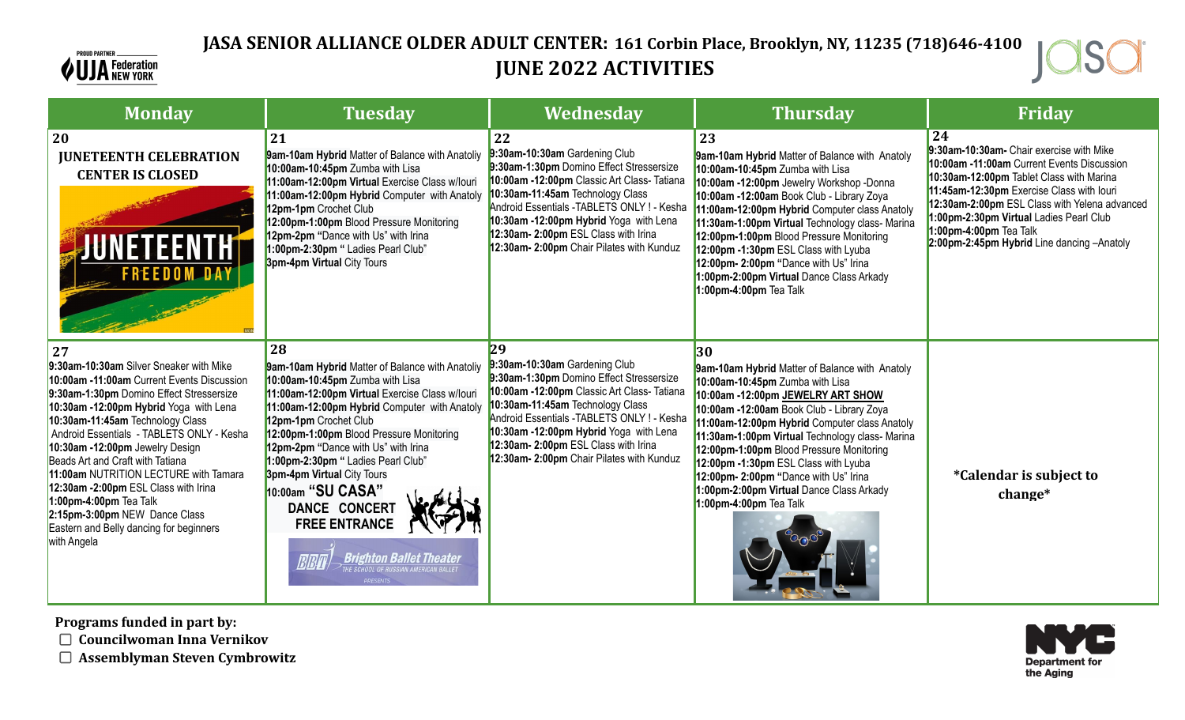

## **JASA SENIOR ALLIANCE OLDER ADULT CENTER: 161 Corbin Place, Brooklyn, NY, 11235 (718)646-4100 JUNE 2022 ACTIVITIES**



| <b>Monday</b>                                                                                                                                                                                                                                                                                                                                                                                                                                                                                                                                      | <b>Tuesday</b>                                                                                                                                                                                                                                                                                                                                                                                                                                                                                                                   | Wednesday                                                                                                                                                                                                                                                                                                                                        | <b>Thursday</b>                                                                                                                                                                                                                                                                                                                                                                                                                                                                         | Friday                                                                                                                                                                                                                                                                                                                                                    |
|----------------------------------------------------------------------------------------------------------------------------------------------------------------------------------------------------------------------------------------------------------------------------------------------------------------------------------------------------------------------------------------------------------------------------------------------------------------------------------------------------------------------------------------------------|----------------------------------------------------------------------------------------------------------------------------------------------------------------------------------------------------------------------------------------------------------------------------------------------------------------------------------------------------------------------------------------------------------------------------------------------------------------------------------------------------------------------------------|--------------------------------------------------------------------------------------------------------------------------------------------------------------------------------------------------------------------------------------------------------------------------------------------------------------------------------------------------|-----------------------------------------------------------------------------------------------------------------------------------------------------------------------------------------------------------------------------------------------------------------------------------------------------------------------------------------------------------------------------------------------------------------------------------------------------------------------------------------|-----------------------------------------------------------------------------------------------------------------------------------------------------------------------------------------------------------------------------------------------------------------------------------------------------------------------------------------------------------|
| 20<br><b>JUNETEENTH CELEBRATION</b><br><b>CENTER IS CLOSED</b><br><b>NETEENTH</b><br><b>FREEDOM DAY</b>                                                                                                                                                                                                                                                                                                                                                                                                                                            | 21<br>9am-10am Hybrid Matter of Balance with Anatoliy<br>10:00am-10:45pm Zumba with Lisa<br>11:00am-12:00pm Virtual Exercise Class w/louri<br>11:00am-12:00pm Hybrid Computer with Anatoly<br>12pm-1pm Crochet Club<br>12:00pm-1:00pm Blood Pressure Monitoring<br>12pm-2pm "Dance with Us" with Irina<br>1:00pm-2:30pm " Ladies Pearl Club"<br>3pm-4pm Virtual City Tours                                                                                                                                                       | 22<br>:30am-10:30am Gardening Club<br>9:30am-1:30pm Domino Effect Stressersize<br>10:00am -12:00pm Classic Art Class- Tatiana<br>10:30am-11:45am Technology Class<br>Android Essentials - TABLETS ONLY ! - Kesha<br>10:30am -12:00pm Hybrid Yoga with Lena<br>12:30am- 2:00pm ESL Class with Irina<br>12:30am- 2:00pm Chair Pilates with Kunduz  | 23<br>9am-10am Hybrid Matter of Balance with Anatoly<br>10:00am-10:45pm Zumba with Lisa<br>10:00am -12:00pm Jewelry Workshop -Donna<br>10:00am -12:00am Book Club - Library Zoya<br>11:00am-12:00pm Hybrid Computer class Anatoly<br>11:30am-1:00pm Virtual Technology class- Marina<br>12:00pm-1:00pm Blood Pressure Monitoring<br>12:00pm -1:30pm ESL Class with Lyuba<br>12:00pm- 2:00pm "Dance with Us" Irina<br>1:00pm-2:00pm Virtual Dance Class Arkady<br>1:00pm-4:00pm Tea Talk | 24<br>9:30am-10:30am- Chair exercise with Mike<br>10:00am -11:00am Current Events Discussion<br>10:30am-12:00pm Tablet Class with Marina<br>11:45am-12:30pm Exercise Class with louri<br>12:30am-2:00pm ESL Class with Yelena advanced<br>1:00pm-2:30pm Virtual Ladies Pearl Club<br>1:00pm-4:00pm Tea Talk<br>2:00pm-2:45pm Hybrid Line dancing -Anatoly |
| 27<br>9:30am-10:30am Silver Sneaker with Mike<br>10:00am -11:00am Current Events Discussion<br>9:30am-1:30pm Domino Effect Stressersize<br>10:30am -12:00pm Hybrid Yoga with Lena<br>10:30am-11:45am Technology Class<br>Android Essentials - TABLETS ONLY - Kesha<br>10:30am -12:00pm Jewelry Design<br>Beads Art and Craft with Tatiana<br>11:00am NUTRITION LECTURE with Tamara<br>12:30am -2:00pm ESL Class with Irina<br>$1:00$ pm-4:00pm Tea Talk<br>2:15pm-3:00pm NEW Dance Class<br>Eastern and Belly dancing for beginners<br>with Angela | 28<br>9am-10am Hybrid Matter of Balance with Anatoliy<br>10:00am-10:45pm Zumba with Lisa<br>11:00am-12:00pm Virtual Exercise Class w/louri<br>11:00am-12:00pm Hybrid Computer with Anatoly<br>12pm-1pm Crochet Club<br>12:00pm-1:00pm Blood Pressure Monitoring<br>12pm-2pm "Dance with Us" with Irina<br>1:00pm-2:30pm " Ladies Pearl Club"<br><b>3pm-4pm Virtual City Tours</b><br>10:00am "SU CASA"<br>DANCE CONCERT<br><b>FREE ENTRANCE</b><br><b>Brighton Ballet Theater</b><br><b>HE SCHOOL OF RUSSIAN AMERICAN BALLET</b> | 29<br>9:30am-10:30am Gardening Club<br>9:30am-1:30pm Domino Effect Stressersize<br>10:00am -12:00pm Classic Art Class- Tatiana<br>10:30am-11:45am Technology Class<br>Android Essentials - TABLETS ONLY ! - Kesha<br>10:30am -12:00pm Hybrid Yoga with Lena<br>12:30am- 2:00pm ESL Class with Irina<br>12:30am- 2:00pm Chair Pilates with Kunduz | 30<br>9am-10am Hybrid Matter of Balance with Anatoly<br>10:00am-10:45pm Zumba with Lisa<br>10:00am -12:00pm JEWELRY ART SHOW<br>10:00am -12:00am Book Club - Library Zoya<br>11:00am-12:00pm Hybrid Computer class Anatoly<br>11:30am-1:00pm Virtual Technology class- Marina<br>12:00pm-1:00pm Blood Pressure Monitoring<br>12:00pm -1:30pm ESL Class with Lyuba<br>12:00pm- 2:00pm "Dance with Us" Irina<br>1:00pm-2:00pm Virtual Dance Class Arkady<br>1:00pm-4:00pm Tea Talk        | <i>*Calendar is subject to</i><br>$change^*$                                                                                                                                                                                                                                                                                                              |

**Programs funded in part by:**

**Councilwoman Inna Vernikov**

**Assemblyman Steven Cymbrowitz**